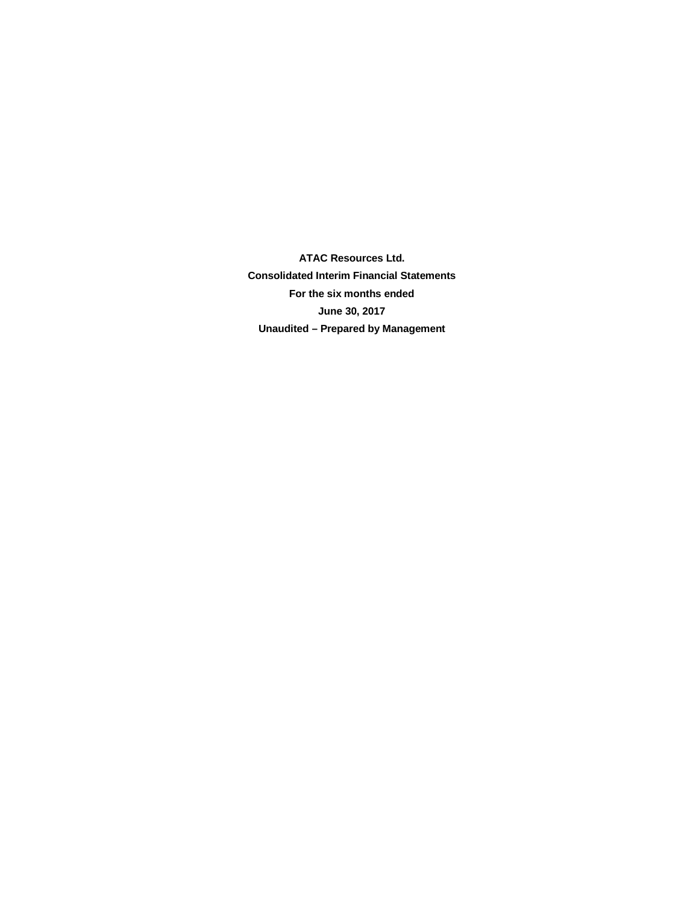**ATAC Resources Ltd. Consolidated Interim Financial Statements For the six months ended June 30, 2017 Unaudited – Prepared by Management**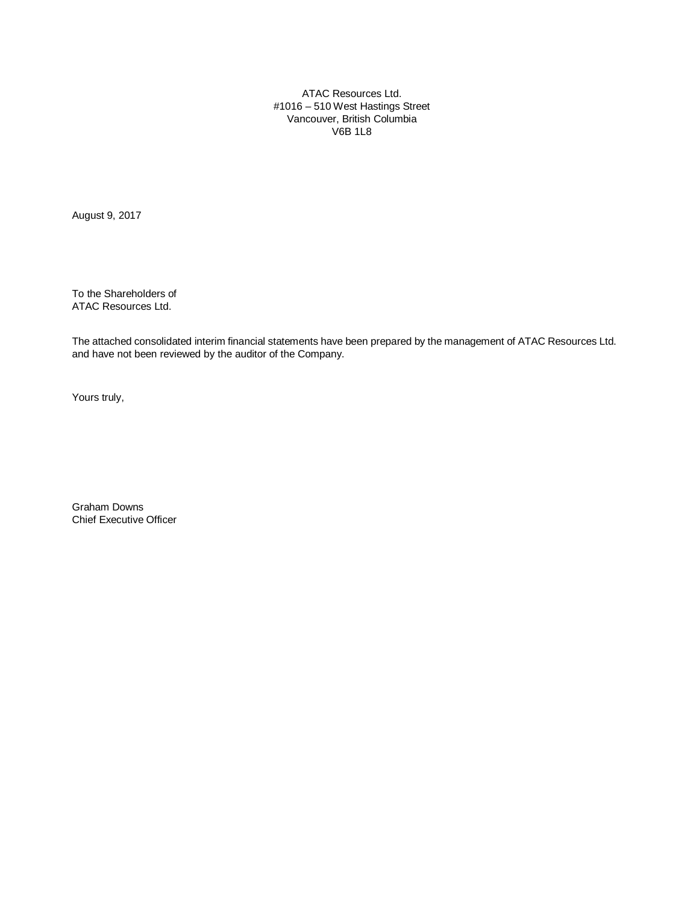ATAC Resources Ltd. #1016 – 510 West Hastings Street Vancouver, British Columbia V6B 1L8

August 9, 2017

To the Shareholders of ATAC Resources Ltd.

The attached consolidated interim financial statements have been prepared by the management of ATAC Resources Ltd. and have not been reviewed by the auditor of the Company.

Yours truly,

Graham Downs Chief Executive Officer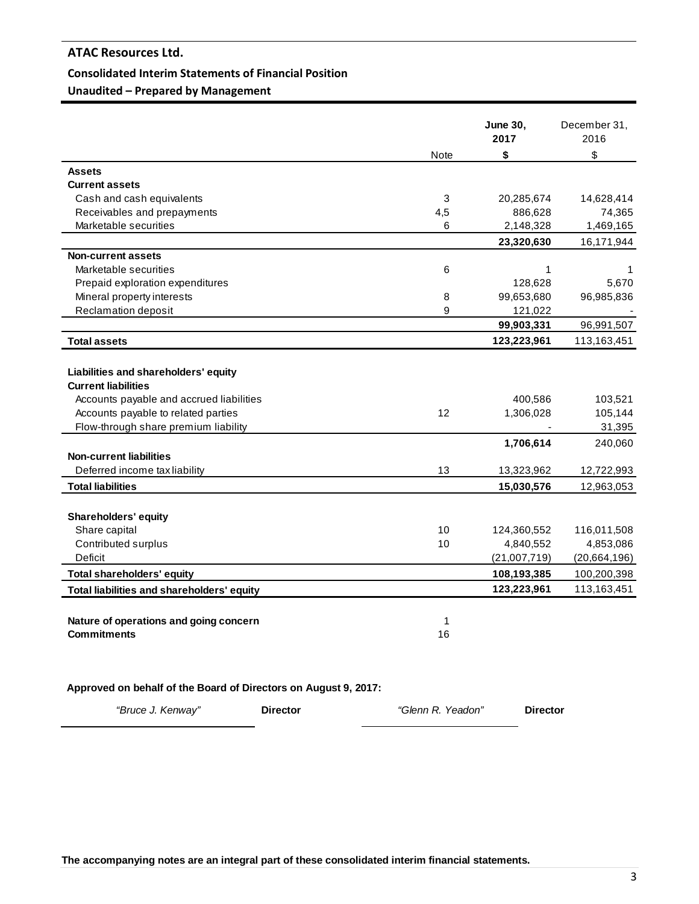### **Consolidated Interim Statements of Financial Position**

**Unaudited – Prepared by Management**

|                                            |             | <b>June 30,</b><br>2017 | December 31,<br>2016 |
|--------------------------------------------|-------------|-------------------------|----------------------|
|                                            | <b>Note</b> | \$                      | \$                   |
| <b>Assets</b>                              |             |                         |                      |
| <b>Current assets</b>                      |             |                         |                      |
| Cash and cash equivalents                  | 3           | 20,285,674              | 14,628,414           |
| Receivables and prepayments                | 4,5         | 886,628                 | 74,365               |
| Marketable securities                      | 6           | 2,148,328               | 1,469,165            |
|                                            |             | 23,320,630              | 16,171,944           |
| <b>Non-current assets</b>                  |             |                         |                      |
| Marketable securities                      | 6           | $\mathbf{1}$            | 1                    |
| Prepaid exploration expenditures           |             | 128,628                 | 5,670                |
| Mineral property interests                 | 8           | 99,653,680              | 96,985,836           |
| Reclamation deposit                        | 9           | 121,022                 |                      |
|                                            |             | 99,903,331              | 96,991,507           |
| <b>Total assets</b>                        |             | 123,223,961             | 113,163,451          |
|                                            |             |                         |                      |
| Liabilities and shareholders' equity       |             |                         |                      |
| <b>Current liabilities</b>                 |             |                         |                      |
| Accounts payable and accrued liabilities   |             | 400,586                 | 103,521              |
| Accounts payable to related parties        | 12          | 1,306,028               | 105,144              |
| Flow-through share premium liability       |             |                         | 31,395               |
|                                            |             | 1,706,614               | 240,060              |
| <b>Non-current liabilities</b>             |             |                         |                      |
| Deferred income tax liability              | 13          | 13,323,962              | 12,722,993           |
| <b>Total liabilities</b>                   |             | 15,030,576              | 12,963,053           |
|                                            |             |                         |                      |
| <b>Shareholders' equity</b>                |             |                         |                      |
| Share capital                              | 10          | 124,360,552             | 116,011,508          |
| Contributed surplus                        | 10          | 4,840,552               | 4,853,086            |
| Deficit                                    |             | (21,007,719)            | (20,664,196)         |
| <b>Total shareholders' equity</b>          |             | 108,193,385             | 100,200,398          |
| Total liabilities and shareholders' equity |             | 123,223,961             | 113,163,451          |
|                                            |             |                         |                      |
| Nature of operations and going concern     | 1           |                         |                      |
| <b>Commitments</b>                         | 16          |                         |                      |
|                                            |             |                         |                      |
|                                            |             |                         |                      |
|                                            |             |                         |                      |

## **Approved on behalf of the Board of Directors on August 9, 2017:**

| "Bruce J. Kenway" | <b>Director</b> | "Glenn R. Yeadon" | <b>Director</b> |
|-------------------|-----------------|-------------------|-----------------|
|                   |                 |                   |                 |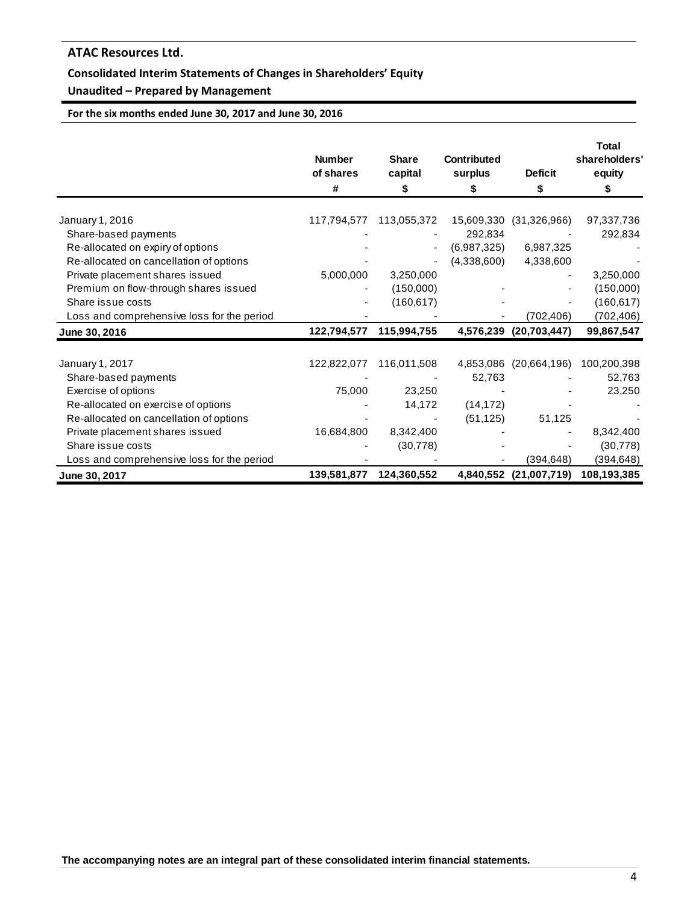# **Consolidated Interim Statements of Changes in Shareholders' Equity**

# **Unaudited – Prepared by Management**

**For the six months ended June 30, 2017 and June 30, 2016**

|                                            | <b>Number</b><br>of shares<br># | <b>Share</b><br>capital<br>\$ | <b>Contributed</b><br>surplus<br>\$ | <b>Deficit</b><br>\$   | <b>Total</b><br>shareholders'<br>equity<br>\$ |
|--------------------------------------------|---------------------------------|-------------------------------|-------------------------------------|------------------------|-----------------------------------------------|
| January 1, 2016                            | 117,794,577                     | 113,055,372                   | 15,609,330                          | (31,326,966)           | 97,337,736                                    |
| Share-based payments                       |                                 |                               | 292,834                             |                        | 292,834                                       |
| Re-allocated on expiry of options          |                                 |                               | (6,987,325)                         | 6,987,325              |                                               |
| Re-allocated on cancellation of options    |                                 |                               | (4,338,600)                         | 4,338,600              |                                               |
| Private placement shares issued            | 5,000,000                       | 3,250,000                     |                                     |                        | 3,250,000                                     |
| Premium on flow-through shares issued      |                                 | (150,000)                     |                                     |                        | (150,000)                                     |
| Share issue costs                          |                                 | (160, 617)                    |                                     |                        | (160, 617)                                    |
| Loss and comprehensive loss for the period |                                 |                               |                                     | (702, 406)             | (702, 406)                                    |
| June 30, 2016                              | 122,794,577                     | 115,994,755                   | 4,576,239                           | (20, 703, 447)         | 99,867,547                                    |
|                                            |                                 |                               |                                     |                        |                                               |
| January 1, 2017                            | 122,822,077                     | 116,011,508                   | 4,853,086                           | (20,664,196)           | 100,200,398                                   |
| Share-based payments                       |                                 |                               | 52,763                              |                        | 52,763                                        |
| Exercise of options                        | 75,000                          | 23,250                        |                                     |                        | 23,250                                        |
| Re-allocated on exercise of options        |                                 | 14,172                        | (14, 172)                           |                        |                                               |
| Re-allocated on cancellation of options    |                                 |                               | (51, 125)                           | 51,125                 |                                               |
| Private placement shares issued            | 16,684,800                      | 8,342,400                     |                                     |                        | 8,342,400                                     |
| Share issue costs                          |                                 | (30, 778)                     |                                     |                        | (30, 778)                                     |
| Loss and comprehensive loss for the period |                                 |                               |                                     | (394, 648)             | (394, 648)                                    |
| June 30, 2017                              | 139,581,877                     | 124,360,552                   |                                     | 4,840,552 (21,007,719) | 108,193,385                                   |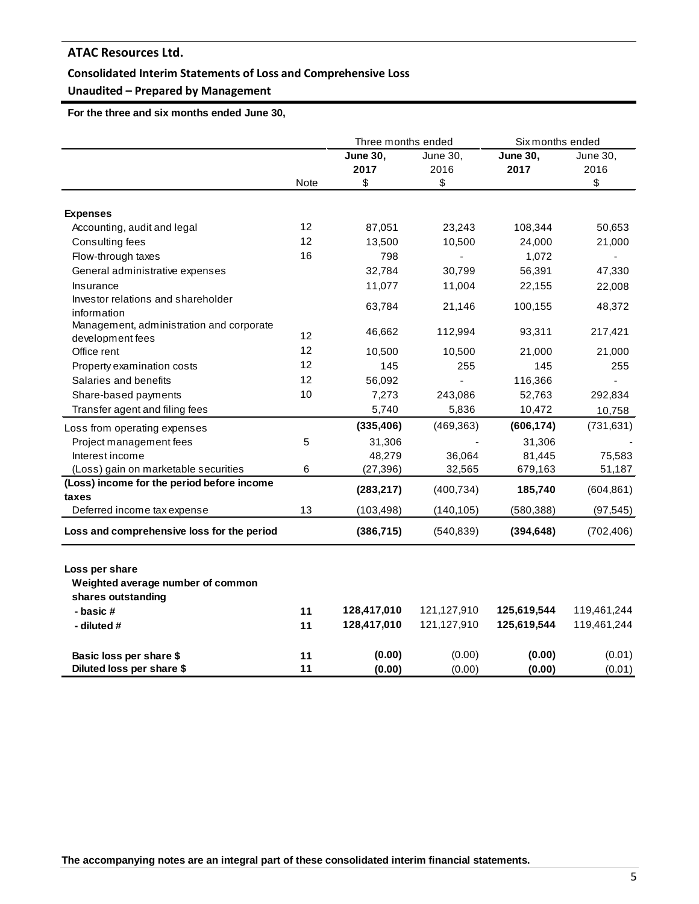# **Consolidated Interim Statements of Loss and Comprehensive Loss**

# **Unaudited – Prepared by Management**

 **For the three and six months ended June 30,** 

|                                                                           |      | Three months ended      |                  | Six months ended        |                  |
|---------------------------------------------------------------------------|------|-------------------------|------------------|-------------------------|------------------|
|                                                                           |      | <b>June 30,</b><br>2017 | June 30,<br>2016 | <b>June 30,</b><br>2017 | June 30,<br>2016 |
|                                                                           | Note | \$                      | \$               |                         | \$               |
| <b>Expenses</b>                                                           |      |                         |                  |                         |                  |
| Accounting, audit and legal                                               | 12   | 87,051                  | 23,243           | 108,344                 | 50,653           |
| Consulting fees                                                           | 12   | 13,500                  | 10,500           | 24,000                  | 21,000           |
| Flow-through taxes                                                        | 16   | 798                     |                  | 1,072                   |                  |
| General administrative expenses                                           |      | 32,784                  | 30,799           | 56,391                  | 47,330           |
| Insurance                                                                 |      | 11,077                  | 11,004           | 22,155                  | 22,008           |
| Investor relations and shareholder                                        |      |                         |                  |                         |                  |
| information                                                               |      | 63,784                  | 21,146           | 100,155                 | 48,372           |
| Management, administration and corporate                                  |      |                         |                  |                         |                  |
| development fees                                                          | 12   | 46,662                  | 112,994          | 93,311                  | 217,421          |
| Office rent                                                               | 12   | 10,500                  | 10,500           | 21,000                  | 21,000           |
| Property examination costs                                                | 12   | 145                     | 255              | 145                     | 255              |
| Salaries and benefits                                                     | 12   | 56,092                  |                  | 116,366                 |                  |
| Share-based payments                                                      | 10   | 7,273                   | 243,086          | 52,763                  | 292,834          |
| Transfer agent and filing fees                                            |      | 5,740                   | 5,836            | 10,472                  | 10,758           |
| Loss from operating expenses                                              |      | (335, 406)              | (469, 363)       | (606, 174)              | (731, 631)       |
| Project management fees                                                   | 5    | 31,306                  |                  | 31,306                  |                  |
| Interest income                                                           |      | 48,279                  | 36,064           | 81,445                  | 75,583           |
| (Loss) gain on marketable securities                                      | 6    | (27, 396)               | 32,565           | 679,163                 | 51,187           |
| (Loss) income for the period before income                                |      | (283, 217)              | (400, 734)       | 185,740                 | (604, 861)       |
| taxes                                                                     |      |                         |                  |                         |                  |
| Deferred income tax expense                                               | 13   | (103, 498)              | (140, 105)       | (580, 388)              | (97, 545)        |
| Loss and comprehensive loss for the period                                |      | (386, 715)              | (540, 839)       | (394, 648)              | (702, 406)       |
| Loss per share<br>Weighted average number of common<br>shares outstanding |      |                         |                  |                         |                  |
| - basic #                                                                 | 11   | 128,417,010             | 121,127,910      | 125,619,544             | 119,461,244      |
| - diluted #                                                               | 11   | 128,417,010             | 121,127,910      | 125,619,544             | 119,461,244      |
|                                                                           |      |                         |                  |                         |                  |
| Basic loss per share \$                                                   | 11   | (0.00)                  | (0.00)           | (0.00)                  | (0.01)           |
| Diluted loss per share \$                                                 | 11   | (0.00)                  | (0.00)           | (0.00)                  | (0.01)           |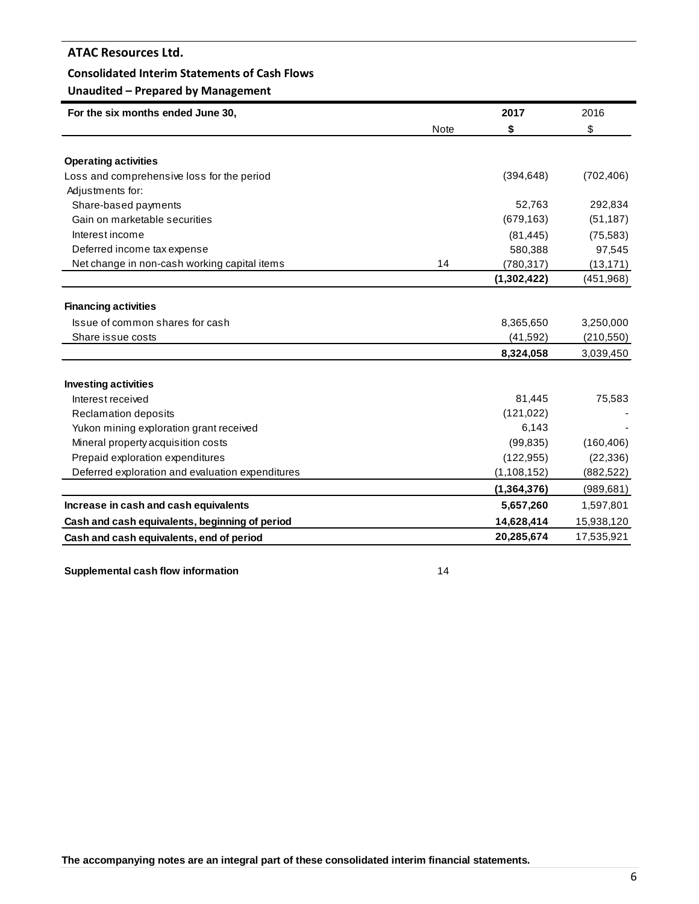## **Consolidated Interim Statements of Cash Flows**

# **Unaudited – Prepared by Management**

| For the six months ended June 30,                |             | 2017          | 2016       |
|--------------------------------------------------|-------------|---------------|------------|
|                                                  | <b>Note</b> | \$            | \$         |
|                                                  |             |               |            |
| <b>Operating activities</b>                      |             |               |            |
| Loss and comprehensive loss for the period       |             | (394, 648)    | (702, 406) |
| Adjustments for:                                 |             |               |            |
| Share-based payments                             |             | 52,763        | 292,834    |
| Gain on marketable securities                    |             | (679, 163)    | (51, 187)  |
| Interest income                                  |             | (81, 445)     | (75, 583)  |
| Deferred income tax expense                      |             | 580,388       | 97,545     |
| Net change in non-cash working capital items     | 14          | (780, 317)    | (13, 171)  |
|                                                  |             | (1,302,422)   | (451, 968) |
|                                                  |             |               |            |
| <b>Financing activities</b>                      |             |               |            |
| Issue of common shares for cash                  |             | 8,365,650     | 3,250,000  |
| Share issue costs                                |             | (41, 592)     | (210, 550) |
|                                                  |             | 8,324,058     | 3,039,450  |
| <b>Investing activities</b>                      |             |               |            |
| Interest received                                |             | 81,445        | 75,583     |
| <b>Reclamation deposits</b>                      |             | (121, 022)    |            |
| Yukon mining exploration grant received          |             | 6,143         |            |
| Mineral property acquisition costs               |             | (99, 835)     | (160, 406) |
| Prepaid exploration expenditures                 |             | (122, 955)    | (22, 336)  |
| Deferred exploration and evaluation expenditures |             | (1, 108, 152) | (882, 522) |
|                                                  |             | (1,364,376)   | (989,681)  |
| Increase in cash and cash equivalents            |             | 5,657,260     | 1,597,801  |
| Cash and cash equivalents, beginning of period   |             | 14,628,414    | 15,938,120 |
| Cash and cash equivalents, end of period         |             | 20,285,674    | 17,535,921 |

**Supplemental cash flow information** 14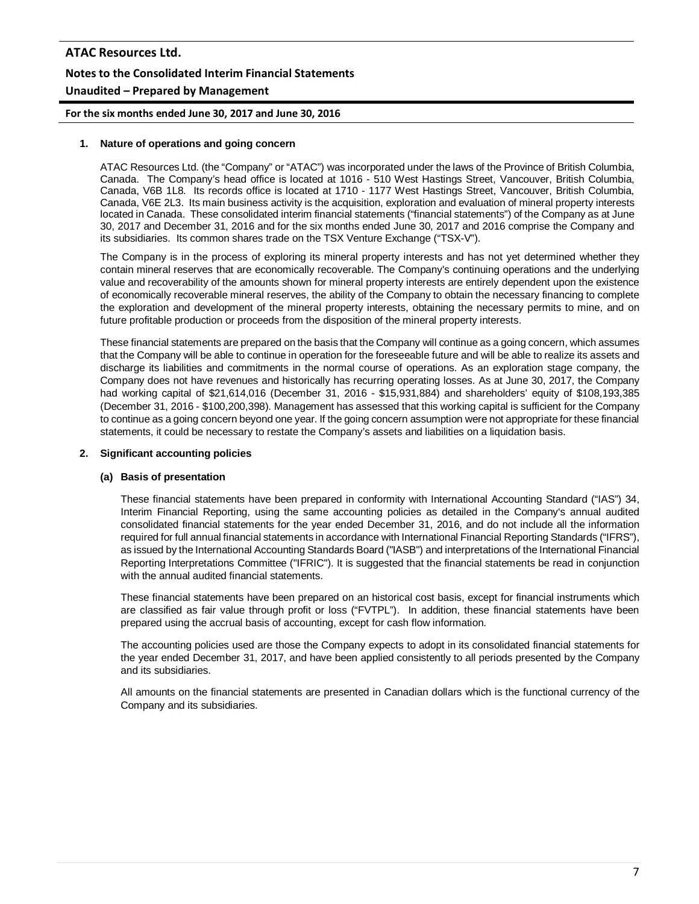# **ATAC Resources Ltd. Notes to the Consolidated Interim Financial Statements Unaudited – Prepared by Management**

**For the six months ended June 30, 2017 and June 30, 2016**

### **1. Nature of operations and going concern**

ATAC Resources Ltd. (the "Company" or "ATAC") was incorporated under the laws of the Province of British Columbia, Canada. The Company's head office is located at 1016 - 510 West Hastings Street, Vancouver, British Columbia, Canada, V6B 1L8. Its records office is located at 1710 - 1177 West Hastings Street, Vancouver, British Columbia, Canada, V6E 2L3. Its main business activity is the acquisition, exploration and evaluation of mineral property interests located in Canada. These consolidated interim financial statements ("financial statements") of the Company as at June 30, 2017 and December 31, 2016 and for the six months ended June 30, 2017 and 2016 comprise the Company and its subsidiaries. Its common shares trade on the TSX Venture Exchange ("TSX-V").

The Company is in the process of exploring its mineral property interests and has not yet determined whether they contain mineral reserves that are economically recoverable. The Company's continuing operations and the underlying value and recoverability of the amounts shown for mineral property interests are entirely dependent upon the existence of economically recoverable mineral reserves, the ability of the Company to obtain the necessary financing to complete the exploration and development of the mineral property interests, obtaining the necessary permits to mine, and on future profitable production or proceeds from the disposition of the mineral property interests.

These financial statements are prepared on the basis that the Company will continue as a going concern, which assumes that the Company will be able to continue in operation for the foreseeable future and will be able to realize its assets and discharge its liabilities and commitments in the normal course of operations. As an exploration stage company, the Company does not have revenues and historically has recurring operating losses. As at June 30, 2017, the Company had working capital of \$21,614,016 (December 31, 2016 - \$15,931,884) and shareholders' equity of \$108,193,385 (December 31, 2016 - \$100,200,398). Management has assessed that this working capital is sufficient for the Company to continue as a going concern beyond one year. If the going concern assumption were not appropriate for these financial statements, it could be necessary to restate the Company's assets and liabilities on a liquidation basis.

### **2. Significant accounting policies**

## **(a) Basis of presentation**

These financial statements have been prepared in conformity with International Accounting Standard ("IAS") 34, Interim Financial Reporting, using the same accounting policies as detailed in the Company's annual audited consolidated financial statements for the year ended December 31, 2016, and do not include all the information required for full annual financial statements in accordance with International Financial Reporting Standards ("IFRS"), as issued by the International Accounting Standards Board ("IASB") and interpretations of the International Financial Reporting Interpretations Committee ("IFRIC"). It is suggested that the financial statements be read in conjunction with the annual audited financial statements.

These financial statements have been prepared on an historical cost basis, except for financial instruments which are classified as fair value through profit or loss ("FVTPL"). In addition, these financial statements have been prepared using the accrual basis of accounting, except for cash flow information.

The accounting policies used are those the Company expects to adopt in its consolidated financial statements for the year ended December 31, 2017, and have been applied consistently to all periods presented by the Company and its subsidiaries.

All amounts on the financial statements are presented in Canadian dollars which is the functional currency of the Company and its subsidiaries.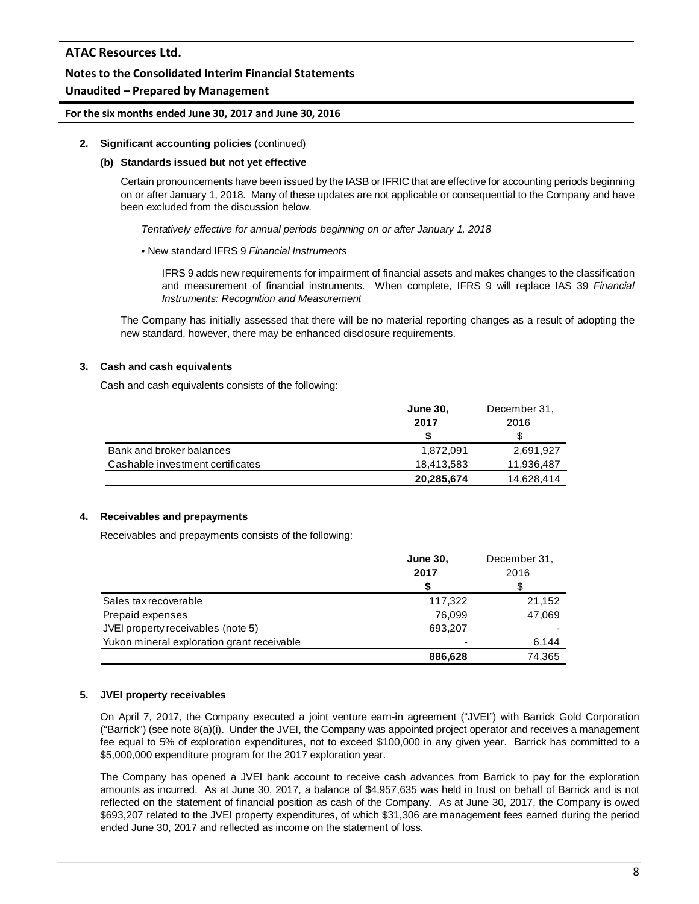## **Notes to the Consolidated Interim Financial Statements**

## **Unaudited – Prepared by Management**

**For the six months ended June 30, 2017 and June 30, 2016**

### **2. Significant accounting policies** (continued)

### **(b) Standards issued but not yet effective**

Certain pronouncements have been issued by the IASB or IFRIC that are effective for accounting periods beginning on or after January 1, 2018. Many of these updates are not applicable or consequential to the Company and have been excluded from the discussion below.

*Tentatively effective for annual periods beginning on or after January 1, 2018*

### • New standard IFRS 9 *Financial Instruments*

IFRS 9 adds new requirements for impairment of financial assets and makes changes to the classification and measurement of financial instruments. When complete, IFRS 9 will replace IAS 39 *Financial Instruments: Recognition and Measurement*

The Company has initially assessed that there will be no material reporting changes as a result of adopting the new standard, however, there may be enhanced disclosure requirements.

## **3. Cash and cash equivalents**

Cash and cash equivalents consists of the following:

|                                  | <b>June 30,</b> | December 31, |
|----------------------------------|-----------------|--------------|
|                                  | 2017            | 2016         |
|                                  | S               |              |
| Bank and broker balances         | 1,872,091       | 2,691,927    |
| Cashable investment certificates | 18,413,583      | 11,936,487   |
|                                  | 20,285,674      | 14,628,414   |

## **4. Receivables and prepayments**

Receivables and prepayments consists of the following:

|                                            | December 31,<br><b>June 30,</b><br>2017<br>2016 |        |
|--------------------------------------------|-------------------------------------------------|--------|
|                                            |                                                 |        |
|                                            | S                                               | S      |
| Sales tax recoverable                      | 117,322                                         | 21,152 |
| Prepaid expenses                           | 76,099                                          | 47,069 |
| JVEI property receivables (note 5)         | 693,207                                         |        |
| Yukon mineral exploration grant receivable |                                                 | 6,144  |
|                                            | 886,628                                         | 74.365 |

## **5. JVEI property receivables**

On April 7, 2017, the Company executed a joint venture earn-in agreement ("JVEI") with Barrick Gold Corporation ("Barrick") (see note 8(a)(i). Under the JVEI, the Company was appointed project operator and receives a management fee equal to 5% of exploration expenditures, not to exceed \$100,000 in any given year. Barrick has committed to a \$5,000,000 expenditure program for the 2017 exploration year.

The Company has opened a JVEI bank account to receive cash advances from Barrick to pay for the exploration amounts as incurred. As at June 30, 2017, a balance of \$4,957,635 was held in trust on behalf of Barrick and is not reflected on the statement of financial position as cash of the Company. As at June 30, 2017, the Company is owed \$693,207 related to the JVEI property expenditures, of which \$31,306 are management fees earned during the period ended June 30, 2017 and reflected as income on the statement of loss.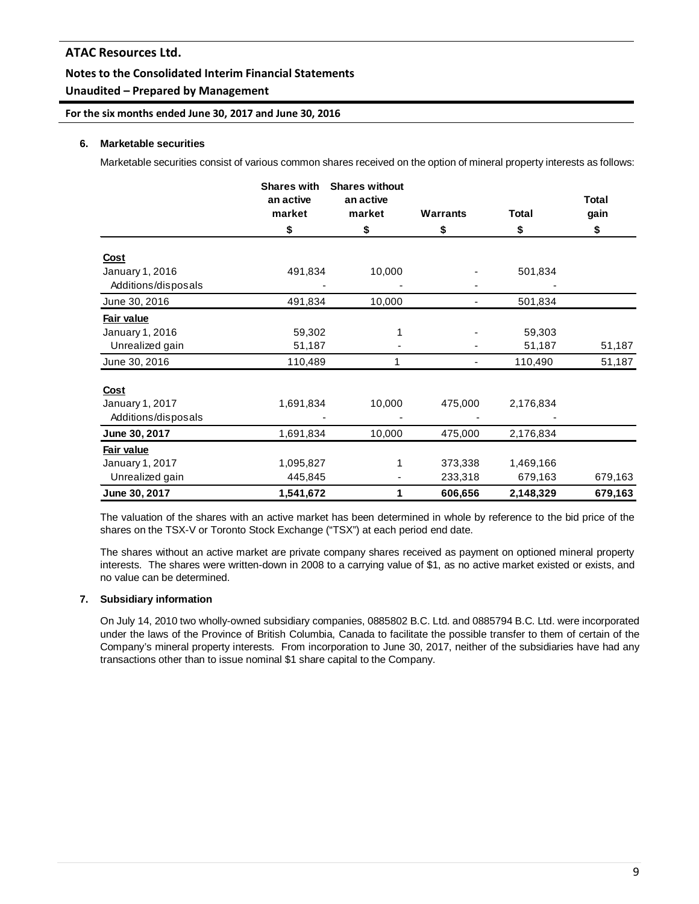# **Unaudited – Prepared by Management**

**For the six months ended June 30, 2017 and June 30, 2016**

### **6. Marketable securities**

Marketable securities consist of various common shares received on the option of mineral property interests as follows:

|                                        | <b>Shares with</b><br>an active<br>market | <b>Shares without</b><br>an active<br>market | <b>Warrants</b> | <b>Total</b> | <b>Total</b><br>gain |
|----------------------------------------|-------------------------------------------|----------------------------------------------|-----------------|--------------|----------------------|
|                                        | \$                                        | \$                                           | \$              | \$           | \$                   |
| <b>Cost</b>                            |                                           |                                              |                 |              |                      |
| January 1, 2016<br>Additions/disposals | 491,834                                   | 10,000                                       |                 | 501,834      |                      |
| June 30, 2016                          | 491,834                                   | 10,000                                       |                 | 501,834      |                      |
| Fair value                             |                                           |                                              |                 |              |                      |
| January 1, 2016                        | 59,302                                    |                                              |                 | 59,303       |                      |
| Unrealized gain                        | 51,187                                    |                                              |                 | 51,187       | 51,187               |
| June 30, 2016                          | 110,489                                   |                                              |                 | 110,490      | 51,187               |
| Cost                                   |                                           |                                              |                 |              |                      |
| January 1, 2017                        | 1,691,834                                 | 10,000                                       | 475,000         | 2,176,834    |                      |
| Additions/disposals                    |                                           |                                              |                 |              |                      |
| June 30, 2017                          | 1,691,834                                 | 10,000                                       | 475,000         | 2,176,834    |                      |
| Fair value                             |                                           |                                              |                 |              |                      |
| January 1, 2017                        | 1,095,827                                 |                                              | 373,338         | 1,469,166    |                      |
| Unrealized gain                        | 445,845                                   |                                              | 233,318         | 679,163      | 679,163              |
| June 30, 2017                          | 1,541,672                                 | 1                                            | 606,656         | 2,148,329    | 679,163              |

The valuation of the shares with an active market has been determined in whole by reference to the bid price of the shares on the TSX-V or Toronto Stock Exchange ("TSX") at each period end date.

The shares without an active market are private company shares received as payment on optioned mineral property interests. The shares were written-down in 2008 to a carrying value of \$1, as no active market existed or exists, and no value can be determined.

## **7. Subsidiary information**

On July 14, 2010 two wholly-owned subsidiary companies, 0885802 B.C. Ltd. and 0885794 B.C. Ltd. were incorporated under the laws of the Province of British Columbia, Canada to facilitate the possible transfer to them of certain of the Company's mineral property interests. From incorporation to June 30, 2017, neither of the subsidiaries have had any transactions other than to issue nominal \$1 share capital to the Company.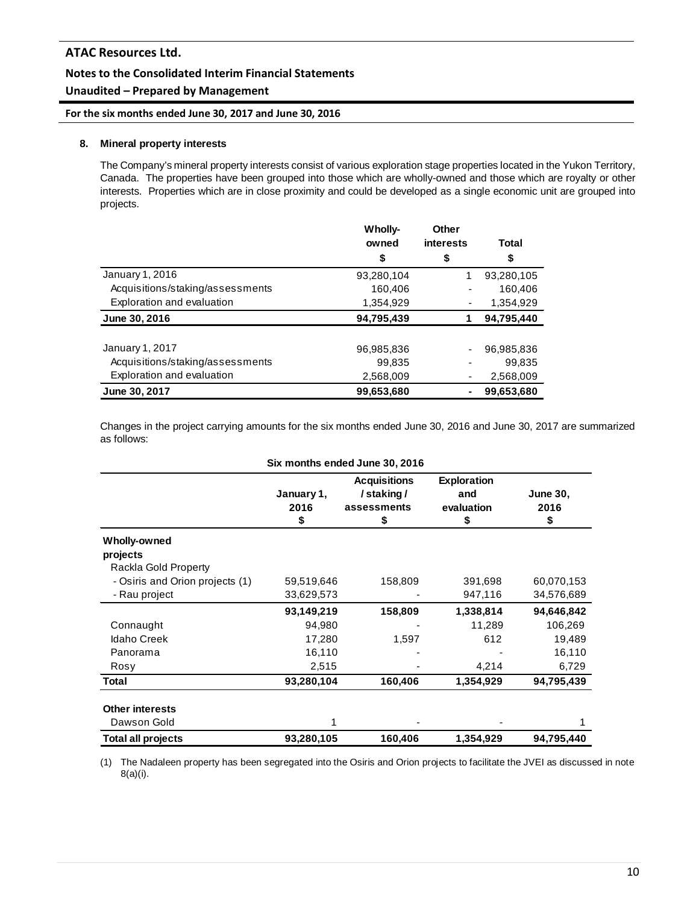# **Unaudited – Prepared by Management**

**For the six months ended June 30, 2017 and June 30, 2016**

### **8. Mineral property interests**

The Company's mineral property interests consist of various exploration stage properties located in the Yukon Territory, Canada. The properties have been grouped into those which are wholly-owned and those which are royalty or other interests. Properties which are in close proximity and could be developed as a single economic unit are grouped into projects.

|                                  | Wholly-    | Other            |            |
|----------------------------------|------------|------------------|------------|
|                                  | owned      | <b>interests</b> | Total      |
|                                  | \$         | \$               | \$         |
| January 1, 2016                  | 93,280,104 |                  | 93,280,105 |
| Acquisitions/staking/assessments | 160,406    |                  | 160,406    |
| Exploration and evaluation       | 1.354.929  | ۰                | 1,354,929  |
| June 30, 2016                    | 94,795,439 |                  | 94,795,440 |
|                                  |            |                  |            |
| January 1, 2017                  | 96,985,836 |                  | 96,985,836 |
| Acquisitions/staking/assessments | 99,835     | ۰                | 99,835     |
| Exploration and evaluation       | 2,568,009  |                  | 2,568,009  |
| June 30, 2017                    | 99,653,680 |                  | 99.653.680 |

Changes in the project carrying amounts for the six months ended June 30, 2016 and June 30, 2017 are summarized as follows:

| Six months ended June 30, 2016  |                          |                                                       |                                               |                               |  |  |
|---------------------------------|--------------------------|-------------------------------------------------------|-----------------------------------------------|-------------------------------|--|--|
|                                 | January 1,<br>2016<br>\$ | <b>Acquisitions</b><br>/staking/<br>assessments<br>\$ | <b>Exploration</b><br>and<br>evaluation<br>\$ | <b>June 30,</b><br>2016<br>\$ |  |  |
| Wholly-owned                    |                          |                                                       |                                               |                               |  |  |
| projects                        |                          |                                                       |                                               |                               |  |  |
| Rackla Gold Property            |                          |                                                       |                                               |                               |  |  |
| - Osiris and Orion projects (1) | 59,519,646               | 158,809                                               | 391,698                                       | 60,070,153                    |  |  |
| - Rau project                   | 33,629,573               |                                                       | 947,116                                       | 34,576,689                    |  |  |
|                                 | 93,149,219               | 158,809                                               | 1,338,814                                     | 94,646,842                    |  |  |
| Connaught                       | 94,980                   |                                                       | 11,289                                        | 106,269                       |  |  |
| <b>Idaho Creek</b>              | 17,280                   | 1,597                                                 | 612                                           | 19,489                        |  |  |
| Panorama                        | 16,110                   |                                                       |                                               | 16,110                        |  |  |
| Rosy                            | 2,515                    |                                                       | 4,214                                         | 6,729                         |  |  |
| Total                           | 93,280,104               | 160,406                                               | 1,354,929                                     | 94,795,439                    |  |  |
| <b>Other interests</b>          |                          |                                                       |                                               |                               |  |  |
| Dawson Gold                     |                          |                                                       |                                               |                               |  |  |
| <b>Total all projects</b>       | 93,280,105               | 160,406                                               | 1,354,929                                     | 94,795,440                    |  |  |

(1) The Nadaleen property has been segregated into the Osiris and Orion projects to facilitate the JVEI as discussed in note 8(a)(i).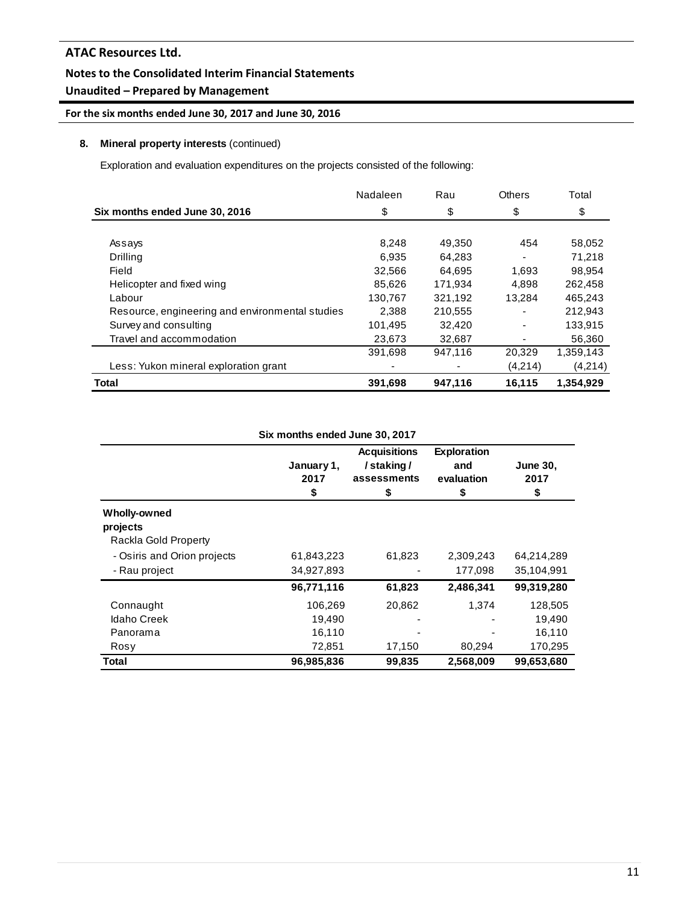# **Unaudited – Prepared by Management**

# **For the six months ended June 30, 2017 and June 30, 2016**

### **8. Mineral property interests** (continued)

Exploration and evaluation expenditures on the projects consisted of the following:

|                                                 | Nadaleen | Rau     | Others  | Total     |
|-------------------------------------------------|----------|---------|---------|-----------|
| Six months ended June 30, 2016                  | \$       | \$      | \$      | \$        |
|                                                 |          |         |         |           |
| Assays                                          | 8.248    | 49,350  | 454     | 58,052    |
| Drilling                                        | 6.935    | 64,283  |         | 71,218    |
| Field                                           | 32,566   | 64.695  | 1.693   | 98.954    |
| Helicopter and fixed wing                       | 85.626   | 171,934 | 4.898   | 262,458   |
| Labour                                          | 130,767  | 321,192 | 13.284  | 465.243   |
| Resource, engineering and environmental studies | 2.388    | 210,555 |         | 212.943   |
| Survey and consulting                           | 101.495  | 32,420  |         | 133.915   |
| Travel and accommodation                        | 23,673   | 32,687  |         | 56,360    |
|                                                 | 391.698  | 947.116 | 20,329  | 1,359,143 |
| Less: Yukon mineral exploration grant           |          |         | (4,214) | (4,214)   |
| <b>Total</b>                                    | 391,698  | 947,116 | 16.115  | 1,354,929 |

**Six months ended June 30, 2017**

|                                                  | January 1,<br>2017<br>\$ | <b>Acquisitions</b><br>/staking/<br>assessments<br>\$ | <b>Exploration</b><br>and<br>evaluation<br>\$ | <b>June 30,</b><br>2017<br>\$ |
|--------------------------------------------------|--------------------------|-------------------------------------------------------|-----------------------------------------------|-------------------------------|
| Wholly-owned<br>projects<br>Rackla Gold Property |                          |                                                       |                                               |                               |
| - Osiris and Orion projects                      | 61,843,223               | 61,823                                                | 2,309,243                                     | 64,214,289                    |
| - Rau project                                    | 34,927,893               |                                                       | 177,098                                       | 35,104,991                    |
|                                                  | 96,771,116               | 61,823                                                | 2,486,341                                     | 99,319,280                    |
| Connaught                                        | 106,269                  | 20,862                                                | 1,374                                         | 128,505                       |
| <b>Idaho Creek</b>                               | 19,490                   |                                                       |                                               | 19,490                        |
| Panorama                                         | 16,110                   |                                                       |                                               | 16,110                        |
| Rosy                                             | 72,851                   | 17,150                                                | 80,294                                        | 170,295                       |
| Total                                            | 96,985,836               | 99,835                                                | 2,568,009                                     | 99.653.680                    |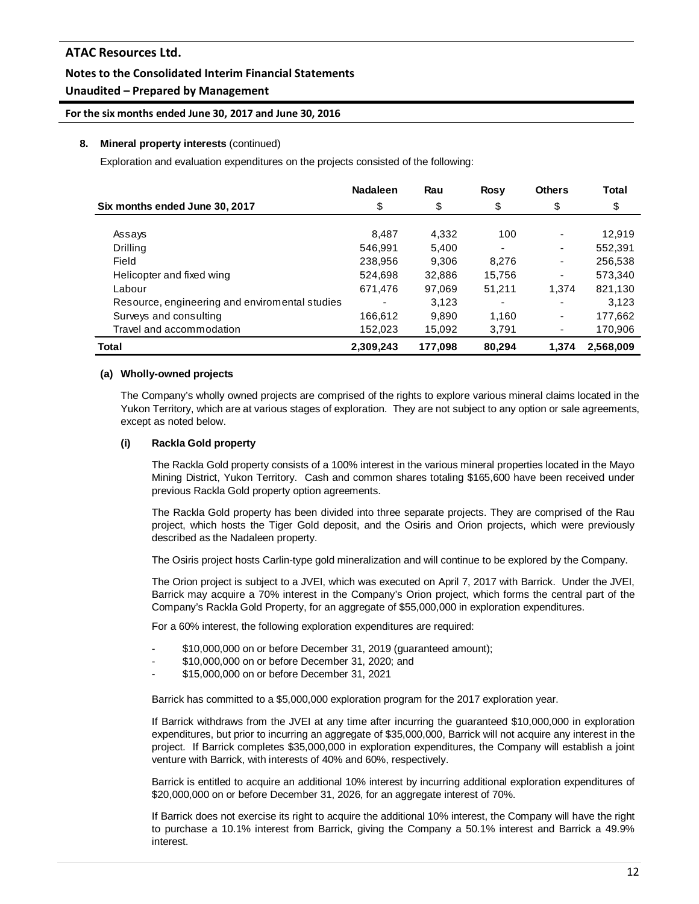# **Unaudited – Prepared by Management**

### **For the six months ended June 30, 2017 and June 30, 2016**

### **8. Mineral property interests** (continued)

Exploration and evaluation expenditures on the projects consisted of the following:

|                                                | <b>Nadaleen</b> | Rau     | <b>Rosy</b>              | <b>Others</b> | <b>Total</b> |
|------------------------------------------------|-----------------|---------|--------------------------|---------------|--------------|
| Six months ended June 30, 2017                 | \$              | \$      | \$                       | \$            | \$           |
|                                                |                 |         |                          |               |              |
| Assays                                         | 8.487           | 4.332   | 100                      | ۰             | 12,919       |
| Drilling                                       | 546,991         | 5,400   | $\overline{\phantom{0}}$ | ٠             | 552,391      |
| Field                                          | 238,956         | 9.306   | 8.276                    | ۰.            | 256,538      |
| Helicopter and fixed wing                      | 524,698         | 32,886  | 15,756                   |               | 573,340      |
| Labour                                         | 671,476         | 97,069  | 51,211                   | 1.374         | 821,130      |
| Resource, engineering and enviromental studies |                 | 3,123   | $\overline{\phantom{0}}$ |               | 3,123        |
| Surveys and consulting                         | 166,612         | 9.890   | 1,160                    | ۰             | 177,662      |
| Travel and accommodation                       | 152,023         | 15,092  | 3,791                    |               | 170,906      |
| Total                                          | 2,309,243       | 177.098 | 80.294                   | 1.374         | 2,568,009    |

### **(a) Wholly-owned projects**

The Company's wholly owned projects are comprised of the rights to explore various mineral claims located in the Yukon Territory, which are at various stages of exploration. They are not subject to any option or sale agreements, except as noted below.

### **(i) Rackla Gold property**

The Rackla Gold property consists of a 100% interest in the various mineral properties located in the Mayo Mining District, Yukon Territory. Cash and common shares totaling \$165,600 have been received under previous Rackla Gold property option agreements.

The Rackla Gold property has been divided into three separate projects. They are comprised of the Rau project, which hosts the Tiger Gold deposit, and the Osiris and Orion projects, which were previously described as the Nadaleen property.

The Osiris project hosts Carlin-type gold mineralization and will continue to be explored by the Company.

The Orion project is subject to a JVEI, which was executed on April 7, 2017 with Barrick. Under the JVEI, Barrick may acquire a 70% interest in the Company's Orion project, which forms the central part of the Company's Rackla Gold Property, for an aggregate of \$55,000,000 in exploration expenditures.

For a 60% interest, the following exploration expenditures are required:

- \$10,000,000 on or before December 31, 2019 (guaranteed amount);
- \$10,000,000 on or before December 31, 2020; and
- \$15,000,000 on or before December 31, 2021

Barrick has committed to a \$5,000,000 exploration program for the 2017 exploration year.

If Barrick withdraws from the JVEI at any time after incurring the guaranteed \$10,000,000 in exploration expenditures, but prior to incurring an aggregate of \$35,000,000, Barrick will not acquire any interest in the project. If Barrick completes \$35,000,000 in exploration expenditures, the Company will establish a joint venture with Barrick, with interests of 40% and 60%, respectively.

Barrick is entitled to acquire an additional 10% interest by incurring additional exploration expenditures of \$20,000,000 on or before December 31, 2026, for an aggregate interest of 70%.

If Barrick does not exercise its right to acquire the additional 10% interest, the Company will have the right to purchase a 10.1% interest from Barrick, giving the Company a 50.1% interest and Barrick a 49.9% interest.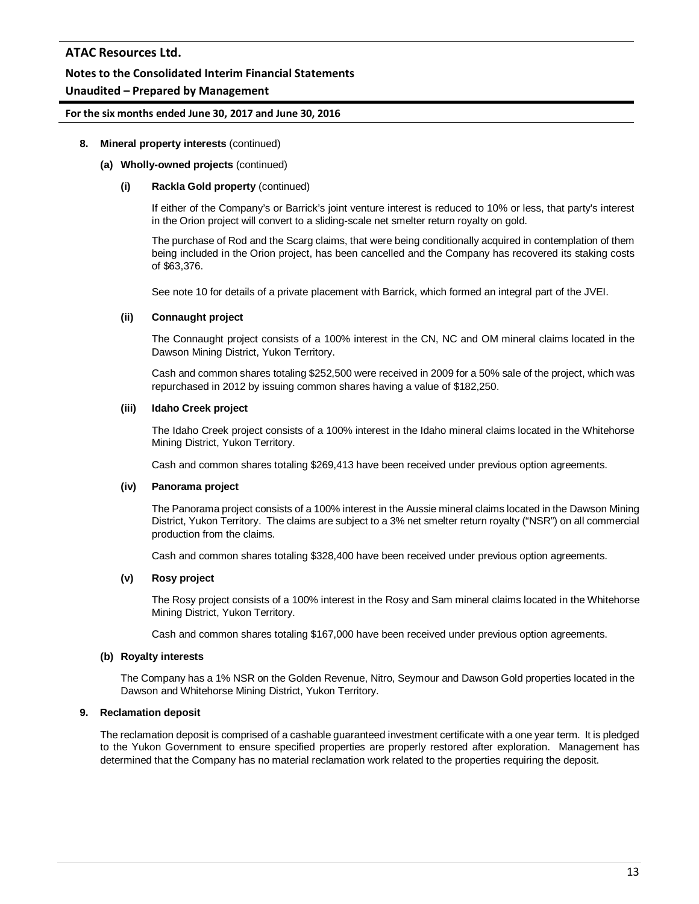## **Notes to the Consolidated Interim Financial Statements**

## **Unaudited – Prepared by Management**

### **For the six months ended June 30, 2017 and June 30, 2016**

### **8. Mineral property interests** (continued)

### **(a) Wholly-owned projects** (continued)

### **(i) Rackla Gold property** (continued)

If either of the Company's or Barrick's joint venture interest is reduced to 10% or less, that party's interest in the Orion project will convert to a sliding-scale net smelter return royalty on gold.

The purchase of Rod and the Scarg claims, that were being conditionally acquired in contemplation of them being included in the Orion project, has been cancelled and the Company has recovered its staking costs of \$63,376.

See note 10 for details of a private placement with Barrick, which formed an integral part of the JVEI.

### **(ii) Connaught project**

The Connaught project consists of a 100% interest in the CN, NC and OM mineral claims located in the Dawson Mining District, Yukon Territory.

Cash and common shares totaling \$252,500 were received in 2009 for a 50% sale of the project, which was repurchased in 2012 by issuing common shares having a value of \$182,250.

### **(iii) Idaho Creek project**

The Idaho Creek project consists of a 100% interest in the Idaho mineral claims located in the Whitehorse Mining District, Yukon Territory.

Cash and common shares totaling \$269,413 have been received under previous option agreements.

### **(iv) Panorama project**

The Panorama project consists of a 100% interest in the Aussie mineral claims located in the Dawson Mining District, Yukon Territory. The claims are subject to a 3% net smelter return royalty ("NSR") on all commercial production from the claims.

Cash and common shares totaling \$328,400 have been received under previous option agreements.

### **(v) Rosy project**

The Rosy project consists of a 100% interest in the Rosy and Sam mineral claims located in the Whitehorse Mining District, Yukon Territory.

Cash and common shares totaling \$167,000 have been received under previous option agreements.

### **(b) Royalty interests**

The Company has a 1% NSR on the Golden Revenue, Nitro, Seymour and Dawson Gold properties located in the Dawson and Whitehorse Mining District, Yukon Territory.

### **9. Reclamation deposit**

The reclamation deposit is comprised of a cashable guaranteed investment certificate with a one year term. It is pledged to the Yukon Government to ensure specified properties are properly restored after exploration. Management has determined that the Company has no material reclamation work related to the properties requiring the deposit.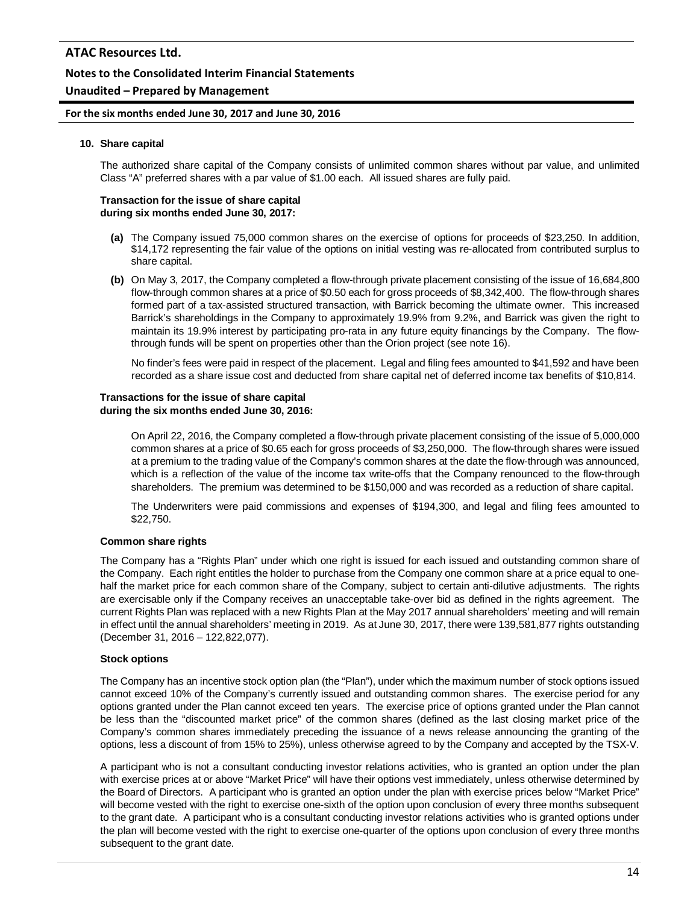## **10. Share capital**

The authorized share capital of the Company consists of unlimited common shares without par value, and unlimited Class "A" preferred shares with a par value of \$1.00 each. All issued shares are fully paid.

### **Transaction for the issue of share capital during six months ended June 30, 2017:**

- **(a)** The Company issued 75,000 common shares on the exercise of options for proceeds of \$23,250. In addition, \$14,172 representing the fair value of the options on initial vesting was re-allocated from contributed surplus to share capital.
- **(b)** On May 3, 2017, the Company completed a flow-through private placement consisting of the issue of 16,684,800 flow-through common shares at a price of \$0.50 each for gross proceeds of \$8,342,400. The flow-through shares formed part of a tax-assisted structured transaction, with Barrick becoming the ultimate owner. This increased Barrick's shareholdings in the Company to approximately 19.9% from 9.2%, and Barrick was given the right to maintain its 19.9% interest by participating pro-rata in any future equity financings by the Company. The flowthrough funds will be spent on properties other than the Orion project (see note 16).

No finder's fees were paid in respect of the placement. Legal and filing fees amounted to \$41,592 and have been recorded as a share issue cost and deducted from share capital net of deferred income tax benefits of \$10,814.

### **Transactions for the issue of share capital during the six months ended June 30, 2016:**

On April 22, 2016, the Company completed a flow-through private placement consisting of the issue of 5,000,000 common shares at a price of \$0.65 each for gross proceeds of \$3,250,000. The flow-through shares were issued at a premium to the trading value of the Company's common shares at the date the flow-through was announced, which is a reflection of the value of the income tax write-offs that the Company renounced to the flow-through shareholders. The premium was determined to be \$150,000 and was recorded as a reduction of share capital.

The Underwriters were paid commissions and expenses of \$194,300, and legal and filing fees amounted to \$22,750.

## **Common share rights**

The Company has a "Rights Plan" under which one right is issued for each issued and outstanding common share of the Company. Each right entitles the holder to purchase from the Company one common share at a price equal to onehalf the market price for each common share of the Company, subject to certain anti-dilutive adjustments. The rights are exercisable only if the Company receives an unacceptable take-over bid as defined in the rights agreement. The current Rights Plan was replaced with a new Rights Plan at the May 2017 annual shareholders' meeting and will remain in effect until the annual shareholders' meeting in 2019. As at June 30, 2017, there were 139,581,877 rights outstanding (December 31, 2016 – 122,822,077).

### **Stock options**

The Company has an incentive stock option plan (the "Plan"), under which the maximum number of stock options issued cannot exceed 10% of the Company's currently issued and outstanding common shares. The exercise period for any options granted under the Plan cannot exceed ten years. The exercise price of options granted under the Plan cannot be less than the "discounted market price" of the common shares (defined as the last closing market price of the Company's common shares immediately preceding the issuance of a news release announcing the granting of the options, less a discount of from 15% to 25%), unless otherwise agreed to by the Company and accepted by the TSX-V.

A participant who is not a consultant conducting investor relations activities, who is granted an option under the plan with exercise prices at or above "Market Price" will have their options vest immediately, unless otherwise determined by the Board of Directors. A participant who is granted an option under the plan with exercise prices below "Market Price" will become vested with the right to exercise one-sixth of the option upon conclusion of every three months subsequent to the grant date. A participant who is a consultant conducting investor relations activities who is granted options under the plan will become vested with the right to exercise one-quarter of the options upon conclusion of every three months subsequent to the grant date.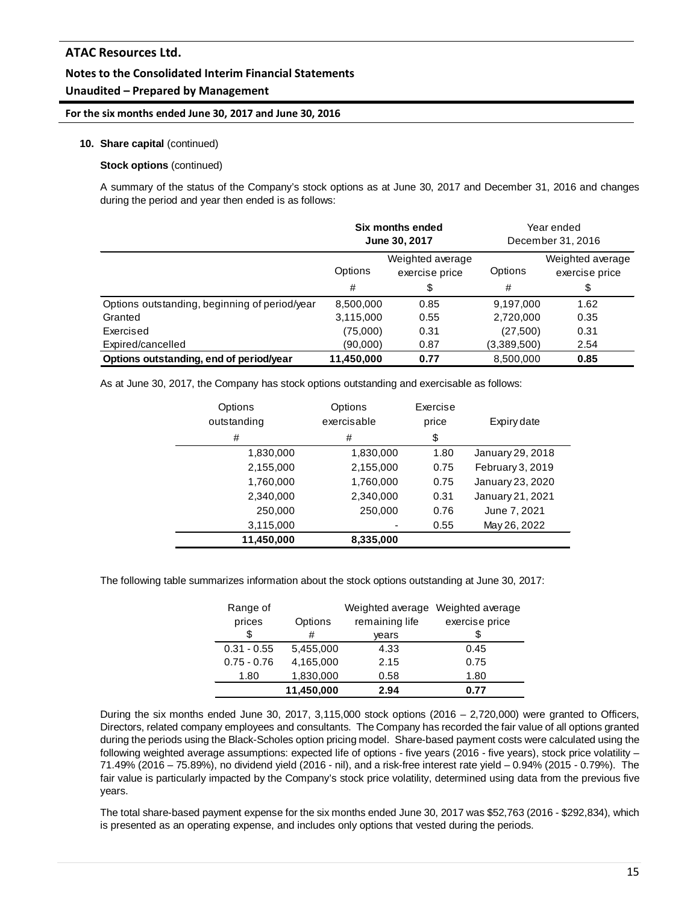# **Unaudited – Prepared by Management**

### **For the six months ended June 30, 2017 and June 30, 2016**

### **10. Share capital** (continued)

### **Stock options** (continued)

A summary of the status of the Company's stock options as at June 30, 2017 and December 31, 2016 and changes during the period and year then ended is as follows:

|                                               | Six months ended<br>June 30, 2017 |                                    |             | Year ended<br>December 31, 2016    |
|-----------------------------------------------|-----------------------------------|------------------------------------|-------------|------------------------------------|
|                                               | Options                           | Weighted average<br>exercise price | Options     | Weighted average<br>exercise price |
|                                               | #                                 | \$                                 | #           | \$                                 |
| Options outstanding, beginning of period/year | 8,500,000                         | 0.85                               | 9,197,000   | 1.62                               |
| Granted                                       | 3,115,000                         | 0.55                               | 2,720,000   | 0.35                               |
| Exercised                                     | (75,000)                          | 0.31                               | (27,500)    | 0.31                               |
| Expired/cancelled                             | (90,000)                          | 0.87                               | (3,389,500) | 2.54                               |
| Options outstanding, end of period/year       | 11,450,000                        | 0.77                               | 8,500,000   | 0.85                               |

As at June 30, 2017, the Company has stock options outstanding and exercisable as follows:

| Options<br>outstanding | Options<br>exercisable | Exercise<br>price | Expiry date      |
|------------------------|------------------------|-------------------|------------------|
| #                      | #                      | \$                |                  |
| 1,830,000              | 1,830,000              | 1.80              | January 29, 2018 |
| 2,155,000              | 2,155,000              | 0.75              | February 3, 2019 |
| 1,760,000              | 1,760,000              | 0.75              | January 23, 2020 |
| 2,340,000              | 2,340,000              | 0.31              | January 21, 2021 |
| 250,000                | 250,000                | 0.76              | June 7, 2021     |
| 3,115,000              |                        | 0.55              | May 26, 2022     |
| 11,450,000             | 8,335,000              |                   |                  |

The following table summarizes information about the stock options outstanding at June 30, 2017:

| Range of      |            | Weighted average | Weighted average |
|---------------|------------|------------------|------------------|
| prices        | Options    | remaining life   | exercise price   |
| \$            | #          | years            |                  |
| $0.31 - 0.55$ | 5,455,000  | 4.33             | 0.45             |
| $0.75 - 0.76$ | 4,165,000  | 2.15             | 0.75             |
| 1.80          | 1,830,000  | 0.58             | 1.80             |
|               | 11,450,000 | 2.94             | 0.77             |

During the six months ended June 30, 2017, 3,115,000 stock options (2016 – 2,720,000) were granted to Officers, Directors, related company employees and consultants. The Company has recorded the fair value of all options granted during the periods using the Black-Scholes option pricing model. Share-based payment costs were calculated using the following weighted average assumptions: expected life of options - five years (2016 - five years), stock price volatility -71.49% (2016 – 75.89%), no dividend yield (2016 - nil), and a risk-free interest rate yield – 0.94% (2015 - 0.79%). The fair value is particularly impacted by the Company's stock price volatility, determined using data from the previous five years.

The total share-based payment expense for the six months ended June 30, 2017 was \$52,763 (2016 - \$292,834), which is presented as an operating expense, and includes only options that vested during the periods.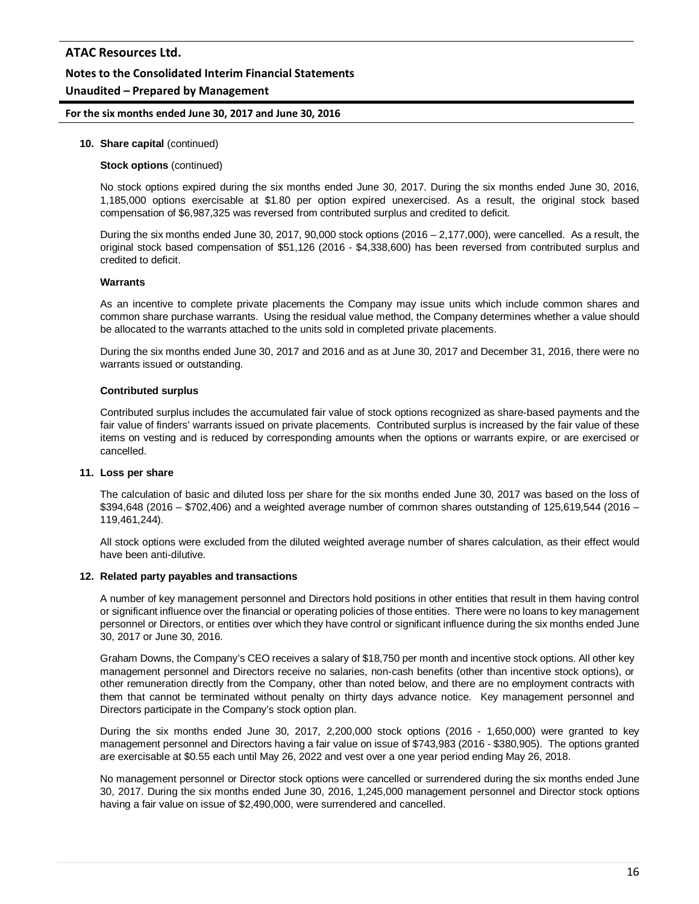### **10. Share capital** (continued)

### **Stock options** (continued)

No stock options expired during the six months ended June 30, 2017. During the six months ended June 30, 2016, 1,185,000 options exercisable at \$1.80 per option expired unexercised. As a result, the original stock based compensation of \$6,987,325 was reversed from contributed surplus and credited to deficit.

During the six months ended June 30, 2017, 90,000 stock options (2016 – 2,177,000), were cancelled. As a result, the original stock based compensation of \$51,126 (2016 - \$4,338,600) has been reversed from contributed surplus and credited to deficit.

### **Warrants**

As an incentive to complete private placements the Company may issue units which include common shares and common share purchase warrants. Using the residual value method, the Company determines whether a value should be allocated to the warrants attached to the units sold in completed private placements.

During the six months ended June 30, 2017 and 2016 and as at June 30, 2017 and December 31, 2016, there were no warrants issued or outstanding.

### **Contributed surplus**

Contributed surplus includes the accumulated fair value of stock options recognized as share-based payments and the fair value of finders' warrants issued on private placements. Contributed surplus is increased by the fair value of these items on vesting and is reduced by corresponding amounts when the options or warrants expire, or are exercised or cancelled.

#### **11. Loss per share**

The calculation of basic and diluted loss per share for the six months ended June 30, 2017 was based on the loss of \$394,648 (2016 – \$702,406) and a weighted average number of common shares outstanding of 125,619,544 (2016 – 119,461,244).

All stock options were excluded from the diluted weighted average number of shares calculation, as their effect would have been anti-dilutive.

#### **12. Related party payables and transactions**

A number of key management personnel and Directors hold positions in other entities that result in them having control or significant influence over the financial or operating policies of those entities. There were no loans to key management personnel or Directors, or entities over which they have control or significant influence during the six months ended June 30, 2017 or June 30, 2016.

Graham Downs, the Company's CEO receives a salary of \$18,750 per month and incentive stock options. All other key management personnel and Directors receive no salaries, non-cash benefits (other than incentive stock options), or other remuneration directly from the Company, other than noted below, and there are no employment contracts with them that cannot be terminated without penalty on thirty days advance notice. Key management personnel and Directors participate in the Company's stock option plan.

During the six months ended June 30, 2017, 2,200,000 stock options (2016 - 1,650,000) were granted to key management personnel and Directors having a fair value on issue of \$743,983 (2016 - \$380,905). The options granted are exercisable at \$0.55 each until May 26, 2022 and vest over a one year period ending May 26, 2018.

No management personnel or Director stock options were cancelled or surrendered during the six months ended June 30, 2017. During the six months ended June 30, 2016, 1,245,000 management personnel and Director stock options having a fair value on issue of \$2,490,000, were surrendered and cancelled.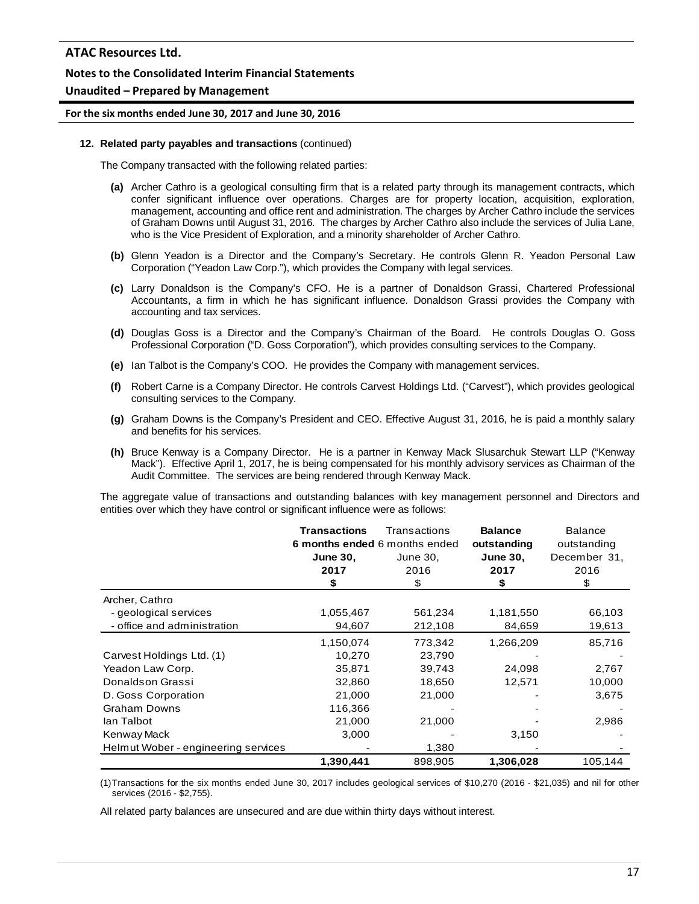#### **12. Related party payables and transactions** (continued)

The Company transacted with the following related parties:

- **(a)** Archer Cathro is a geological consulting firm that is a related party through its management contracts, which confer significant influence over operations. Charges are for property location, acquisition, exploration, management, accounting and office rent and administration. The charges by Archer Cathro include the services of Graham Downs until August 31, 2016. The charges by Archer Cathro also include the services of Julia Lane, who is the Vice President of Exploration, and a minority shareholder of Archer Cathro.
- **(b)** Glenn Yeadon is a Director and the Company's Secretary. He controls Glenn R. Yeadon Personal Law Corporation ("Yeadon Law Corp."), which provides the Company with legal services.
- **(c)** Larry Donaldson is the Company's CFO. He is a partner of Donaldson Grassi, Chartered Professional Accountants, a firm in which he has significant influence. Donaldson Grassi provides the Company with accounting and tax services.
- **(d)** Douglas Goss is a Director and the Company's Chairman of the Board. He controls Douglas O. Goss Professional Corporation ("D. Goss Corporation"), which provides consulting services to the Company.
- **(e)** Ian Talbot is the Company's COO. He provides the Company with management services.
- **(f)** Robert Carne is a Company Director. He controls Carvest Holdings Ltd. ("Carvest"), which provides geological consulting services to the Company.
- **(g)** Graham Downs is the Company's President and CEO. Effective August 31, 2016, he is paid a monthly salary and benefits for his services.
- **(h)** Bruce Kenway is a Company Director. He is a partner in Kenway Mack Slusarchuk Stewart LLP ("Kenway Mack"). Effective April 1, 2017, he is being compensated for his monthly advisory services as Chairman of the Audit Committee. The services are being rendered through Kenway Mack.

The aggregate value of transactions and outstanding balances with key management personnel and Directors and entities over which they have control or significant influence were as follows:

|                                     | <b>Transactions</b><br>6 months ended 6 months ended<br><b>June 30.</b><br>2017 | Transactions<br>June 30,<br>2016 | <b>Balance</b><br>outstanding<br><b>June 30.</b><br>2017 | <b>Balance</b><br>outstanding<br>December 31,<br>2016 |
|-------------------------------------|---------------------------------------------------------------------------------|----------------------------------|----------------------------------------------------------|-------------------------------------------------------|
|                                     | \$                                                                              | \$                               | \$                                                       | \$                                                    |
| Archer, Cathro                      |                                                                                 |                                  |                                                          |                                                       |
| - geological services               | 1,055,467                                                                       | 561,234                          | 1,181,550                                                | 66,103                                                |
| - office and administration         | 94,607                                                                          | 212,108                          | 84,659                                                   | 19,613                                                |
|                                     | 1,150,074                                                                       | 773,342                          | 1,266,209                                                | 85,716                                                |
| Carvest Holdings Ltd. (1)           | 10,270                                                                          | 23,790                           |                                                          |                                                       |
| Yeadon Law Corp.                    | 35,871                                                                          | 39,743                           | 24,098                                                   | 2,767                                                 |
| Donaldson Grassi                    | 32,860                                                                          | 18,650                           | 12,571                                                   | 10,000                                                |
| D. Goss Corporation                 | 21,000                                                                          | 21,000                           |                                                          | 3,675                                                 |
| <b>Graham Downs</b>                 | 116,366                                                                         |                                  |                                                          |                                                       |
| lan Talbot                          | 21,000                                                                          | 21,000                           |                                                          | 2,986                                                 |
| Kenway Mack                         | 3,000                                                                           |                                  | 3,150                                                    |                                                       |
| Helmut Wober - engineering services |                                                                                 | 1,380                            |                                                          |                                                       |
|                                     | 1,390,441                                                                       | 898,905                          | 1,306,028                                                | 105,144                                               |

(1)Transactions for the six months ended June 30, 2017 includes geological services of \$10,270 (2016 - \$21,035) and nil for other services (2016 - \$2,755).

All related party balances are unsecured and are due within thirty days without interest.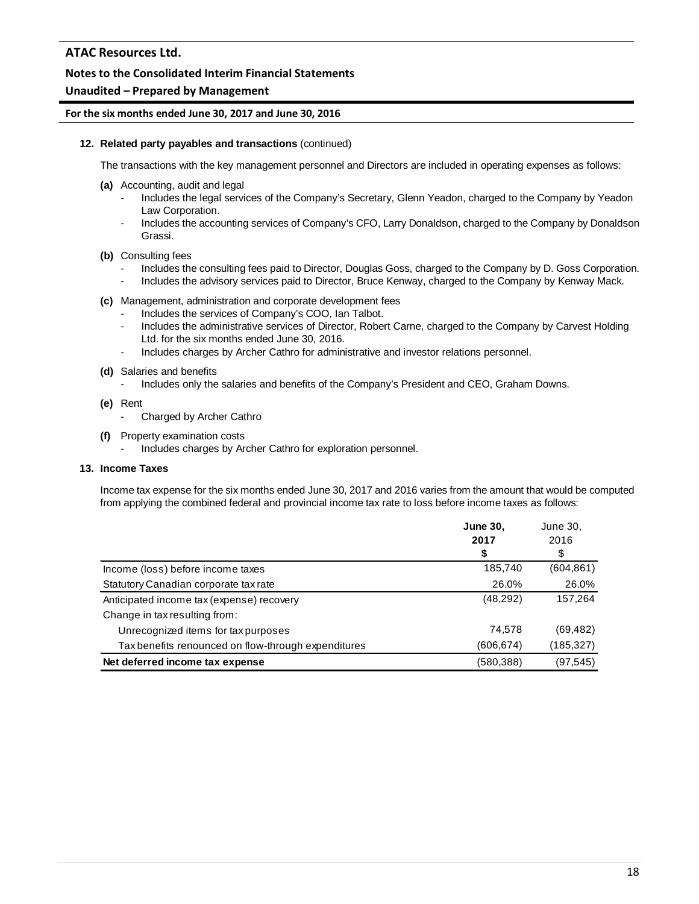## **Notes to the Consolidated Interim Financial Statements**

# **Unaudited – Prepared by Management**

## **For the six months ended June 30, 2017 and June 30, 2016**

### **12. Related party payables and transactions** (continued)

The transactions with the key management personnel and Directors are included in operating expenses as follows:

- **(a)** Accounting, audit and legal
	- Includes the legal services of the Company's Secretary, Glenn Yeadon, charged to the Company by Yeadon Law Corporation.
	- Includes the accounting services of Company's CFO, Larry Donaldson, charged to the Company by Donaldson Grassi.
- **(b)** Consulting fees
	- Includes the consulting fees paid to Director, Douglas Goss, charged to the Company by D. Goss Corporation.
	- Includes the advisory services paid to Director, Bruce Kenway, charged to the Company by Kenway Mack.
- **(c)** Management, administration and corporate development fees
	- Includes the services of Company's COO, Ian Talbot.
	- Includes the administrative services of Director, Robert Carne, charged to the Company by Carvest Holding Ltd. for the six months ended June 30, 2016.
	- Includes charges by Archer Cathro for administrative and investor relations personnel.
- **(d)** Salaries and benefits
	- Includes only the salaries and benefits of the Company's President and CEO, Graham Downs.
- **(e)** Rent
	- Charged by Archer Cathro
- **(f)** Property examination costs
	- Includes charges by Archer Cathro for exploration personnel.

## **13. Income Taxes**

Income tax expense for the six months ended June 30, 2017 and 2016 varies from the amount that would be computed from applying the combined federal and provincial income tax rate to loss before income taxes as follows:

|                                                     | <b>June 30.</b> | June 30,  |
|-----------------------------------------------------|-----------------|-----------|
|                                                     | 2017            | 2016      |
|                                                     | \$              | \$        |
| Income (loss) before income taxes                   | 185,740         | (604,861) |
| Statutory Canadian corporate tax rate               | 26.0%           | 26.0%     |
| Anticipated income tax (expense) recovery           | (48,292)        | 157,264   |
| Change in tax resulting from:                       |                 |           |
| Unrecognized items for tax purposes                 | 74,578          | (69, 482) |
| Tax benefits renounced on flow-through expenditures | (606,674)       | (185,327) |
| Net deferred income tax expense                     | (580,388)       | (97, 545) |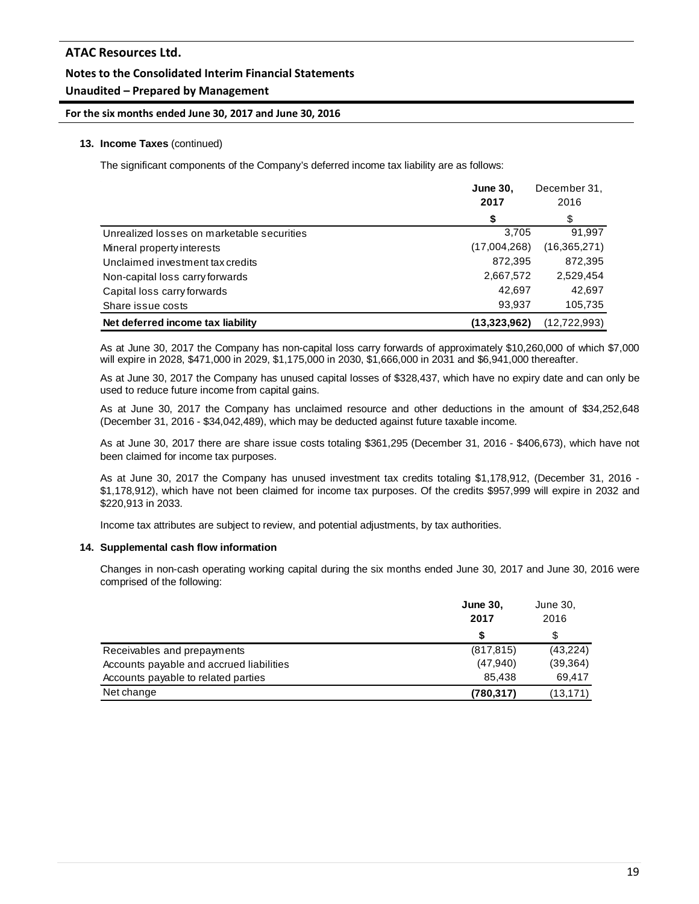## **13. Income Taxes** (continued)

The significant components of the Company's deferred income tax liability are as follows:

|                                            | <b>June 30,</b> | December 31,   |
|--------------------------------------------|-----------------|----------------|
|                                            | 2017            | 2016           |
|                                            | \$              | \$             |
| Unrealized losses on marketable securities | 3.705           | 91,997         |
| Mineral property interests                 | (17,004,268)    | (16, 365, 271) |
| Unclaimed investment tax credits           | 872,395         | 872,395        |
| Non-capital loss carry forwards            | 2,667,572       | 2,529,454      |
| Capital loss carry forwards                | 42.697          | 42.697         |
| Share issue costs                          | 93,937          | 105,735        |
| Net deferred income tax liability          | (13,323,962)    | (12,722,993)   |

As at June 30, 2017 the Company has non-capital loss carry forwards of approximately \$10,260,000 of which \$7,000 will expire in 2028, \$471,000 in 2029, \$1,175,000 in 2030, \$1,666,000 in 2031 and \$6,941,000 thereafter.

As at June 30, 2017 the Company has unused capital losses of \$328,437, which have no expiry date and can only be used to reduce future income from capital gains.

As at June 30, 2017 the Company has unclaimed resource and other deductions in the amount of \$34,252,648 (December 31, 2016 - \$34,042,489), which may be deducted against future taxable income.

As at June 30, 2017 there are share issue costs totaling \$361,295 (December 31, 2016 - \$406,673), which have not been claimed for income tax purposes.

As at June 30, 2017 the Company has unused investment tax credits totaling \$1,178,912, (December 31, 2016 - \$1,178,912), which have not been claimed for income tax purposes. Of the credits \$957,999 will expire in 2032 and \$220,913 in 2033.

Income tax attributes are subject to review, and potential adjustments, by tax authorities.

### **14. Supplemental cash flow information**

Changes in non-cash operating working capital during the six months ended June 30, 2017 and June 30, 2016 were comprised of the following:

|                                          | <b>June 30,</b><br>2017<br>S. | June 30,<br>2016 |
|------------------------------------------|-------------------------------|------------------|
|                                          |                               | S                |
| Receivables and prepayments              | (817, 815)                    | (43, 224)        |
| Accounts payable and accrued liabilities | (47, 940)                     | (39, 364)        |
| Accounts payable to related parties      | 85.438                        | 69.417           |
| Net change                               | (780, 317)                    | (13, 171)        |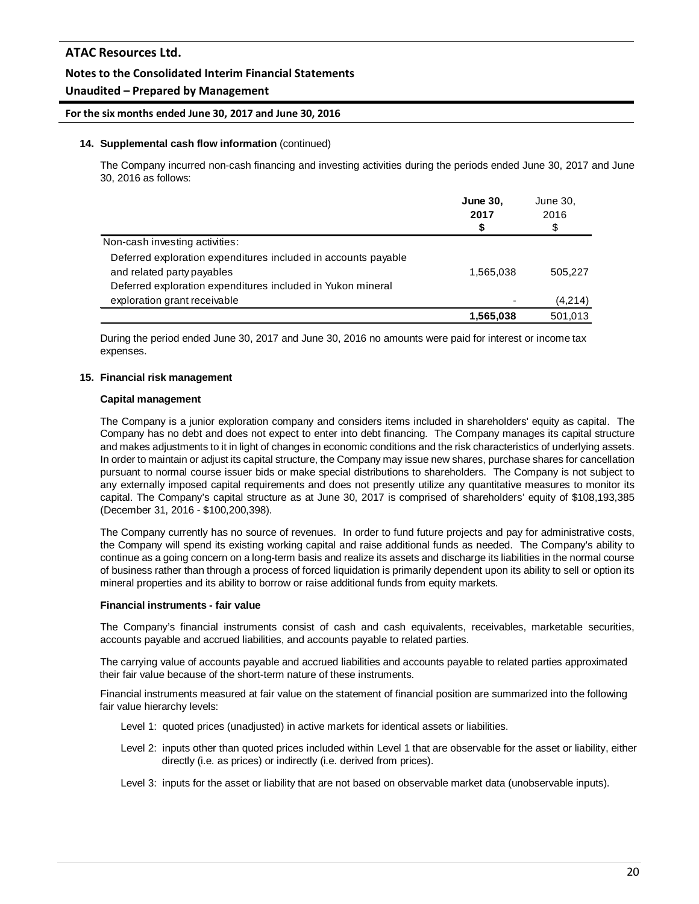## **Unaudited – Prepared by Management**

### **For the six months ended June 30, 2017 and June 30, 2016**

### **14. Supplemental cash flow information** (continued)

The Company incurred non-cash financing and investing activities during the periods ended June 30, 2017 and June 30, 2016 as follows:

|                                                                | <b>June 30.</b><br>2017<br>\$ | June 30,<br>2016<br>\$ |
|----------------------------------------------------------------|-------------------------------|------------------------|
| Non-cash investing activities:                                 |                               |                        |
| Deferred exploration expenditures included in accounts payable |                               |                        |
| and related party payables                                     | 1,565,038                     | 505.227                |
| Deferred exploration expenditures included in Yukon mineral    |                               |                        |
| exploration grant receivable                                   |                               | (4,214)                |
|                                                                | 1,565,038                     | 501.013                |

During the period ended June 30, 2017 and June 30, 2016 no amounts were paid for interest or income tax expenses.

### **15. Financial risk management**

### **Capital management**

The Company is a junior exploration company and considers items included in shareholders' equity as capital. The Company has no debt and does not expect to enter into debt financing. The Company manages its capital structure and makes adjustments to it in light of changes in economic conditions and the risk characteristics of underlying assets. In order to maintain or adjust its capital structure, the Company may issue new shares, purchase shares for cancellation pursuant to normal course issuer bids or make special distributions to shareholders. The Company is not subject to any externally imposed capital requirements and does not presently utilize any quantitative measures to monitor its capital. The Company's capital structure as at June 30, 2017 is comprised of shareholders' equity of \$108,193,385 (December 31, 2016 - \$100,200,398).

The Company currently has no source of revenues. In order to fund future projects and pay for administrative costs, the Company will spend its existing working capital and raise additional funds as needed. The Company's ability to continue as a going concern on a long-term basis and realize its assets and discharge its liabilities in the normal course of business rather than through a process of forced liquidation is primarily dependent upon its ability to sell or option its mineral properties and its ability to borrow or raise additional funds from equity markets.

### **Financial instruments - fair value**

The Company's financial instruments consist of cash and cash equivalents, receivables, marketable securities, accounts payable and accrued liabilities, and accounts payable to related parties.

The carrying value of accounts payable and accrued liabilities and accounts payable to related parties approximated their fair value because of the short-term nature of these instruments.

Financial instruments measured at fair value on the statement of financial position are summarized into the following fair value hierarchy levels:

- Level 1: quoted prices (unadjusted) in active markets for identical assets or liabilities.
- Level 2: inputs other than quoted prices included within Level 1 that are observable for the asset or liability, either directly (i.e. as prices) or indirectly (i.e. derived from prices).
- Level 3: inputs for the asset or liability that are not based on observable market data (unobservable inputs).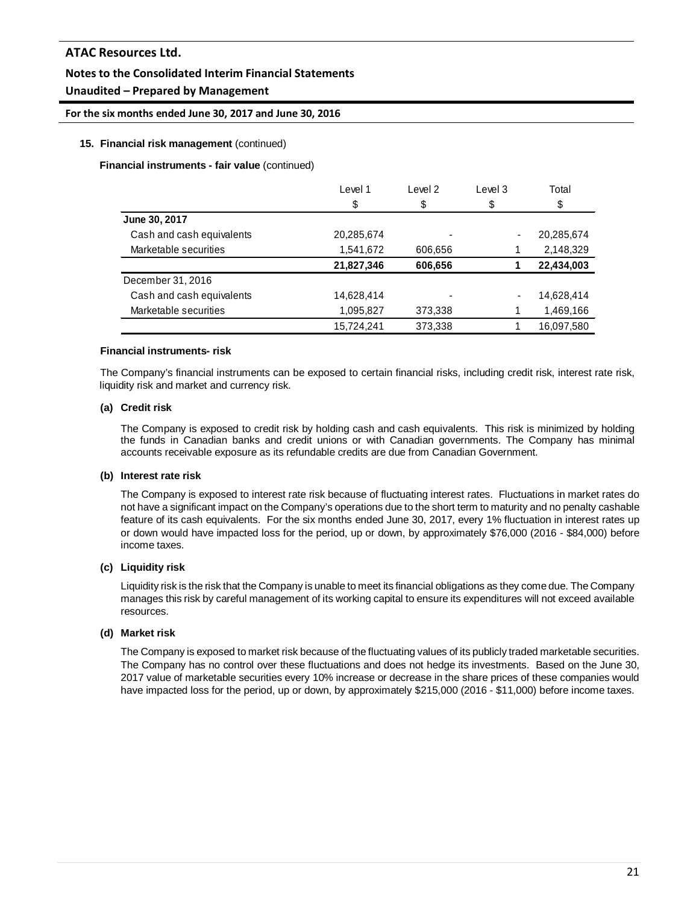# **Unaudited – Prepared by Management**

**For the six months ended June 30, 2017 and June 30, 2016**

### **15. Financial risk management** (continued)

**Financial instruments - fair value** (continued)

|                           | Level 1    | Level 2 | Level 3 | Total      |
|---------------------------|------------|---------|---------|------------|
|                           | \$         | \$      | \$      | \$         |
| June 30, 2017             |            |         |         |            |
| Cash and cash equivalents | 20,285,674 |         |         | 20,285,674 |
| Marketable securities     | 1,541,672  | 606,656 |         | 2,148,329  |
|                           | 21,827,346 | 606,656 |         | 22,434,003 |
| December 31, 2016         |            |         |         |            |
| Cash and cash equivalents | 14,628,414 |         |         | 14,628,414 |
| Marketable securities     | 1,095,827  | 373,338 |         | 1,469,166  |
|                           | 15,724,241 | 373,338 |         | 16,097,580 |

## **Financial instruments- risk**

The Company's financial instruments can be exposed to certain financial risks, including credit risk, interest rate risk, liquidity risk and market and currency risk.

### **(a) Credit risk**

The Company is exposed to credit risk by holding cash and cash equivalents. This risk is minimized by holding the funds in Canadian banks and credit unions or with Canadian governments. The Company has minimal accounts receivable exposure as its refundable credits are due from Canadian Government.

### **(b) Interest rate risk**

The Company is exposed to interest rate risk because of fluctuating interest rates. Fluctuations in market rates do not have a significant impact on the Company's operations due to the short term to maturity and no penalty cashable feature of its cash equivalents. For the six months ended June 30, 2017, every 1% fluctuation in interest rates up or down would have impacted loss for the period, up or down, by approximately \$76,000 (2016 - \$84,000) before income taxes.

## **(c) Liquidity risk**

Liquidity risk is the risk that the Company is unable to meet its financial obligations as they come due. The Company manages this risk by careful management of its working capital to ensure its expenditures will not exceed available resources.

## **(d) Market risk**

The Company is exposed to market risk because of the fluctuating values of its publicly traded marketable securities. The Company has no control over these fluctuations and does not hedge its investments. Based on the June 30, 2017 value of marketable securities every 10% increase or decrease in the share prices of these companies would have impacted loss for the period, up or down, by approximately \$215,000 (2016 - \$11,000) before income taxes.